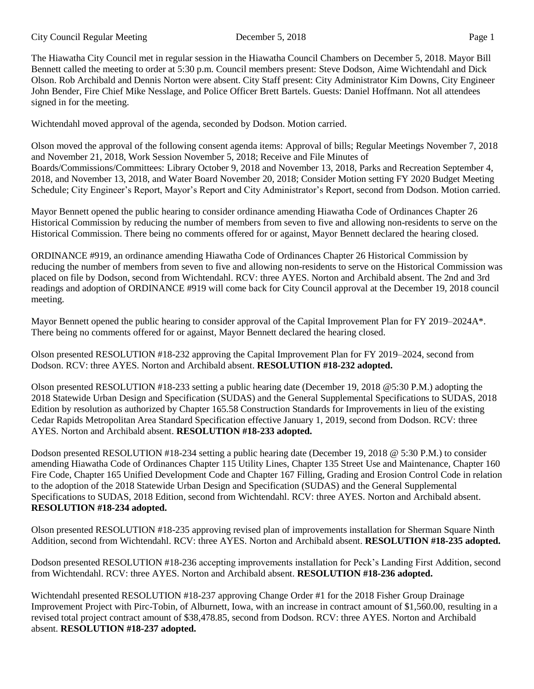The Hiawatha City Council met in regular session in the Hiawatha Council Chambers on December 5, 2018. Mayor Bill Bennett called the meeting to order at 5:30 p.m. Council members present: Steve Dodson, Aime Wichtendahl and Dick Olson. Rob Archibald and Dennis Norton were absent. City Staff present: City Administrator Kim Downs, City Engineer John Bender, Fire Chief Mike Nesslage, and Police Officer Brett Bartels. Guests: Daniel Hoffmann. Not all attendees signed in for the meeting.

Wichtendahl moved approval of the agenda, seconded by Dodson. Motion carried.

Olson moved the approval of the following consent agenda items: Approval of bills; Regular Meetings November 7, 2018 and November 21, 2018, Work Session November 5, 2018; Receive and File Minutes of Boards/Commissions/Committees: Library October 9, 2018 and November 13, 2018, Parks and Recreation September 4, 2018, and November 13, 2018, and Water Board November 20, 2018; Consider Motion setting FY 2020 Budget Meeting Schedule; City Engineer's Report, Mayor's Report and City Administrator's Report, second from Dodson. Motion carried.

Mayor Bennett opened the public hearing to consider ordinance amending Hiawatha Code of Ordinances Chapter 26 Historical Commission by reducing the number of members from seven to five and allowing non-residents to serve on the Historical Commission. There being no comments offered for or against, Mayor Bennett declared the hearing closed.

ORDINANCE #919, an ordinance amending Hiawatha Code of Ordinances Chapter 26 Historical Commission by reducing the number of members from seven to five and allowing non-residents to serve on the Historical Commission was placed on file by Dodson, second from Wichtendahl. RCV: three AYES. Norton and Archibald absent. The 2nd and 3rd readings and adoption of ORDINANCE #919 will come back for City Council approval at the December 19, 2018 council meeting.

Mayor Bennett opened the public hearing to consider approval of the Capital Improvement Plan for FY 2019–2024A\*. There being no comments offered for or against, Mayor Bennett declared the hearing closed.

Olson presented RESOLUTION #18-232 approving the Capital Improvement Plan for FY 2019–2024, second from Dodson. RCV: three AYES. Norton and Archibald absent. **RESOLUTION #18-232 adopted.** 

Olson presented RESOLUTION #18-233 setting a public hearing date (December 19, 2018 @5:30 P.M.) adopting the 2018 Statewide Urban Design and Specification (SUDAS) and the General Supplemental Specifications to SUDAS, 2018 Edition by resolution as authorized by Chapter 165.58 Construction Standards for Improvements in lieu of the existing Cedar Rapids Metropolitan Area Standard Specification effective January 1, 2019, second from Dodson. RCV: three AYES. Norton and Archibald absent. **RESOLUTION #18-233 adopted.** 

Dodson presented RESOLUTION #18-234 setting a public hearing date (December 19, 2018 @ 5:30 P.M.) to consider amending Hiawatha Code of Ordinances Chapter 115 Utility Lines, Chapter 135 Street Use and Maintenance, Chapter 160 Fire Code, Chapter 165 Unified Development Code and Chapter 167 Filling, Grading and Erosion Control Code in relation to the adoption of the 2018 Statewide Urban Design and Specification (SUDAS) and the General Supplemental Specifications to SUDAS, 2018 Edition, second from Wichtendahl. RCV: three AYES. Norton and Archibald absent. **RESOLUTION #18-234 adopted.**

Olson presented RESOLUTION #18-235 approving revised plan of improvements installation for Sherman Square Ninth Addition, second from Wichtendahl. RCV: three AYES. Norton and Archibald absent. **RESOLUTION #18-235 adopted.**

Dodson presented RESOLUTION #18-236 accepting improvements installation for Peck's Landing First Addition, second from Wichtendahl. RCV: three AYES. Norton and Archibald absent. **RESOLUTION #18-236 adopted.**

Wichtendahl presented RESOLUTION #18-237 approving Change Order #1 for the 2018 Fisher Group Drainage Improvement Project with Pirc-Tobin, of Alburnett, Iowa, with an increase in contract amount of \$1,560.00, resulting in a revised total project contract amount of \$38,478.85, second from Dodson. RCV: three AYES. Norton and Archibald absent. **RESOLUTION #18-237 adopted.**